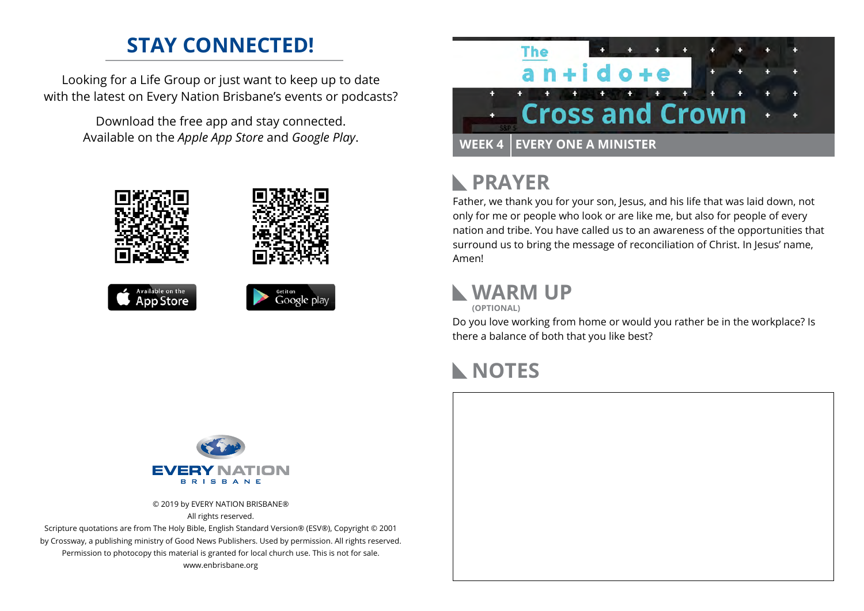## **STAY CONNECTED!**

Looking for a Life Group or just want to keep up to date with the latest on Every Nation Brisbane's events or podcasts?

> Download the free app and stay connected. Available on the *Apple App Store* and *Google Play*.





#### **PRAYER**  $\mathbb{R}$

Father, we thank you for your son, Jesus, and his life that was laid down, not only for me or people who look or are like me, but also for people of every nation and tribe. You have called us to an awareness of the opportunities that surround us to bring the message of reconciliation of Christ. In Jesus' name, Amen!

#### **WARM UP (OPTIONAL)**

Do you love working from home or would you rather be in the workplace? Is there a balance of both that you like best?

### **NOTES**



Google play

© 2019 by EVERY NATION BRISBANE® All rights reserved.

Scripture quotations are from The Holy Bible, English Standard Version® (ESV®), Copyright © 2001 by Crossway, a publishing ministry of Good News Publishers. Used by permission. All rights reserved. Permission to photocopy this material is granted for local church use. This is not for sale. www.enbrisbane.org